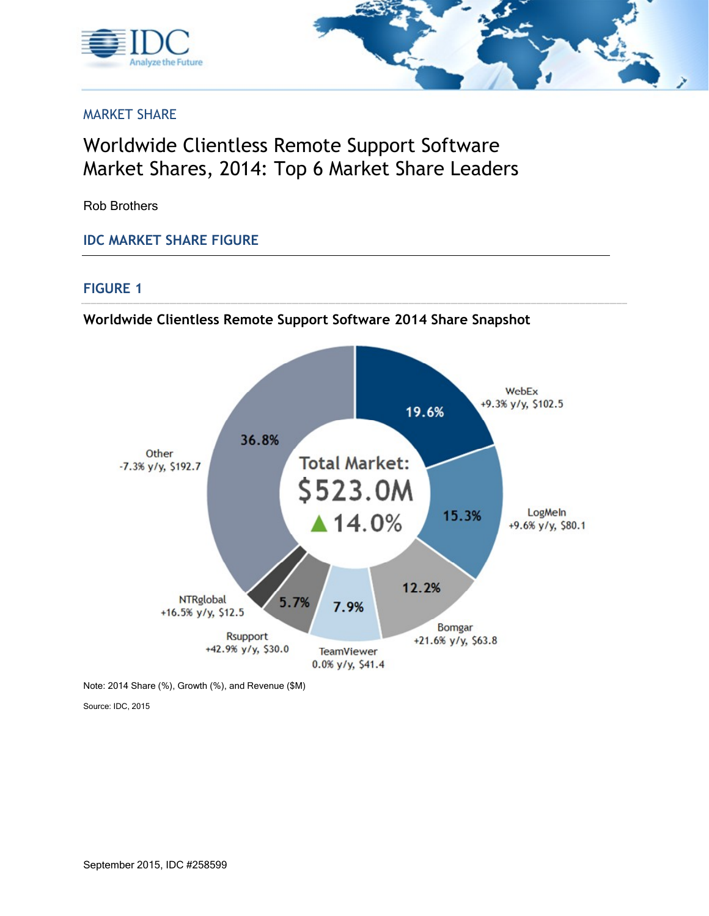



### MARKET SHARE

# Worldwide Clientless Remote Support Software Market Shares, 2014: Top 6 Market Share Leaders

Rob Brothers

#### **IDC MARKET SHARE FIGURE**

#### **FIGURE 1**

**Worldwide Clientless Remote Support Software 2014 Share Snapshot**



Note: 2014 Share (%), Growth (%), and Revenue (\$M)

Source: IDC, 2015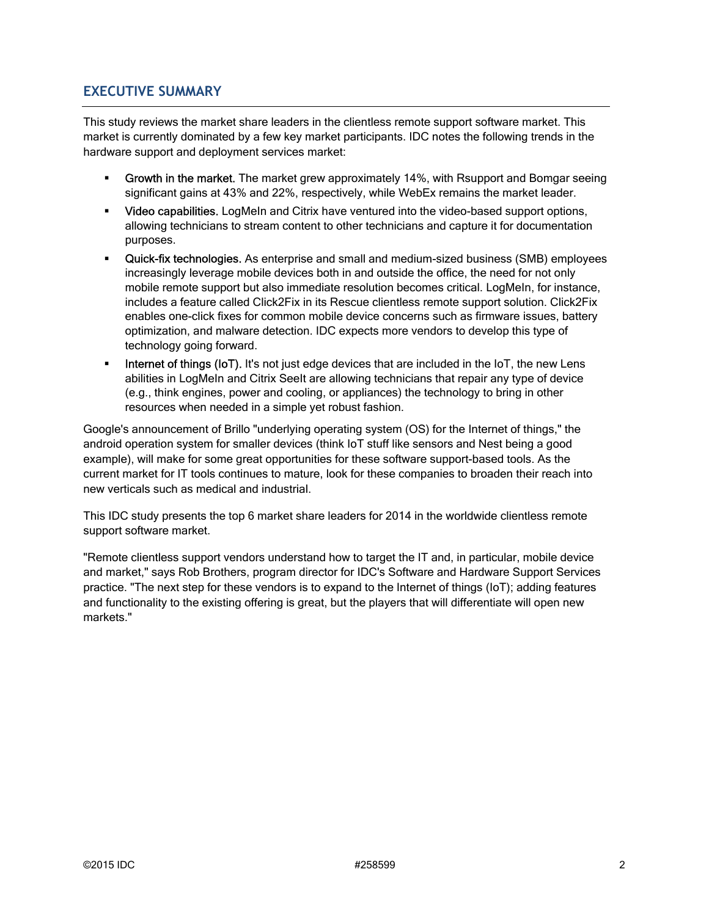### **EXECUTIVE SUMMARY**

This study reviews the market share leaders in the clientless remote support software market. This market is currently dominated by a few key market participants. IDC notes the following trends in the hardware support and deployment services market:

- **Growth in the market.** The market grew approximately 14%, with Rsupport and Bomgar seeing significant gains at 43% and 22%, respectively, while WebEx remains the market leader.
- Video capabilities. LogMeIn and Citrix have ventured into the video-based support options, allowing technicians to stream content to other technicians and capture it for documentation purposes.
- **Quick-fix technologies.** As enterprise and small and medium-sized business (SMB) employees increasingly leverage mobile devices both in and outside the office, the need for not only mobile remote support but also immediate resolution becomes critical. LogMeIn, for instance, includes a feature called Click2Fix in its Rescue clientless remote support solution. Click2Fix enables one-click fixes for common mobile device concerns such as firmware issues, battery optimization, and malware detection. IDC expects more vendors to develop this type of technology going forward.
- Internet of things (IoT). It's not just edge devices that are included in the IoT, the new Lens abilities in LogMeIn and Citrix SeeIt are allowing technicians that repair any type of device (e.g., think engines, power and cooling, or appliances) the technology to bring in other resources when needed in a simple yet robust fashion.

Google's announcement of Brillo "underlying operating system (OS) for the Internet of things," the android operation system for smaller devices (think IoT stuff like sensors and Nest being a good example), will make for some great opportunities for these software support-based tools. As the current market for IT tools continues to mature, look for these companies to broaden their reach into new verticals such as medical and industrial.

This IDC study presents the top 6 market share leaders for 2014 in the worldwide clientless remote support software market.

"Remote clientless support vendors understand how to target the IT and, in particular, mobile device and market," says Rob Brothers, program director for IDC's Software and Hardware Support Services practice. "The next step for these vendors is to expand to the Internet of things (IoT); adding features and functionality to the existing offering is great, but the players that will differentiate will open new markets."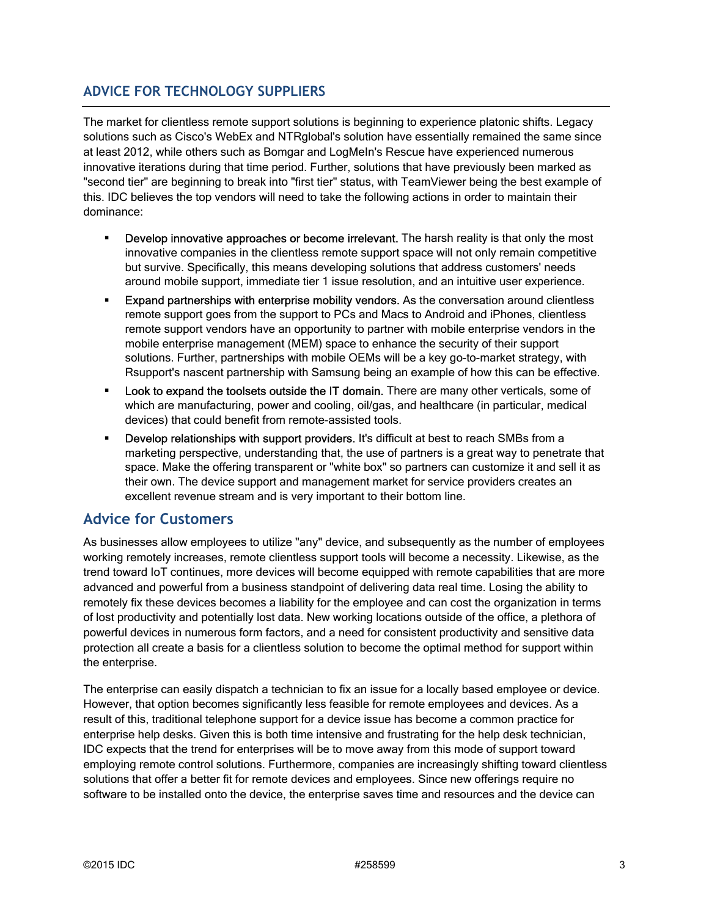### **ADVICE FOR TECHNOLOGY SUPPLIERS**

The market for clientless remote support solutions is beginning to experience platonic shifts. Legacy solutions such as Cisco's WebEx and NTRglobal's solution have essentially remained the same since at least 2012, while others such as Bomgar and LogMeIn's Rescue have experienced numerous innovative iterations during that time period. Further, solutions that have previously been marked as "second tier" are beginning to break into "first tier" status, with TeamViewer being the best example of this. IDC believes the top vendors will need to take the following actions in order to maintain their dominance:

- **Develop innovative approaches or become irrelevant.** The harsh reality is that only the most innovative companies in the clientless remote support space will not only remain competitive but survive. Specifically, this means developing solutions that address customers' needs around mobile support, immediate tier 1 issue resolution, and an intuitive user experience.
- **Expand partnerships with enterprise mobility vendors.** As the conversation around clientless remote support goes from the support to PCs and Macs to Android and iPhones, clientless remote support vendors have an opportunity to partner with mobile enterprise vendors in the mobile enterprise management (MEM) space to enhance the security of their support solutions. Further, partnerships with mobile OEMs will be a key go-to-market strategy, with Rsupport's nascent partnership with Samsung being an example of how this can be effective.
- Look to expand the toolsets outside the IT domain. There are many other verticals, some of which are manufacturing, power and cooling, oil/gas, and healthcare (in particular, medical devices) that could benefit from remote-assisted tools.
- Develop relationships with support providers. It's difficult at best to reach SMBs from a marketing perspective, understanding that, the use of partners is a great way to penetrate that space. Make the offering transparent or "white box" so partners can customize it and sell it as their own. The device support and management market for service providers creates an excellent revenue stream and is very important to their bottom line.

### **Advice for Customers**

As businesses allow employees to utilize "any" device, and subsequently as the number of employees working remotely increases, remote clientless support tools will become a necessity. Likewise, as the trend toward IoT continues, more devices will become equipped with remote capabilities that are more advanced and powerful from a business standpoint of delivering data real time. Losing the ability to remotely fix these devices becomes a liability for the employee and can cost the organization in terms of lost productivity and potentially lost data. New working locations outside of the office, a plethora of powerful devices in numerous form factors, and a need for consistent productivity and sensitive data protection all create a basis for a clientless solution to become the optimal method for support within the enterprise.

The enterprise can easily dispatch a technician to fix an issue for a locally based employee or device. However, that option becomes significantly less feasible for remote employees and devices. As a result of this, traditional telephone support for a device issue has become a common practice for enterprise help desks. Given this is both time intensive and frustrating for the help desk technician, IDC expects that the trend for enterprises will be to move away from this mode of support toward employing remote control solutions. Furthermore, companies are increasingly shifting toward clientless solutions that offer a better fit for remote devices and employees. Since new offerings require no software to be installed onto the device, the enterprise saves time and resources and the device can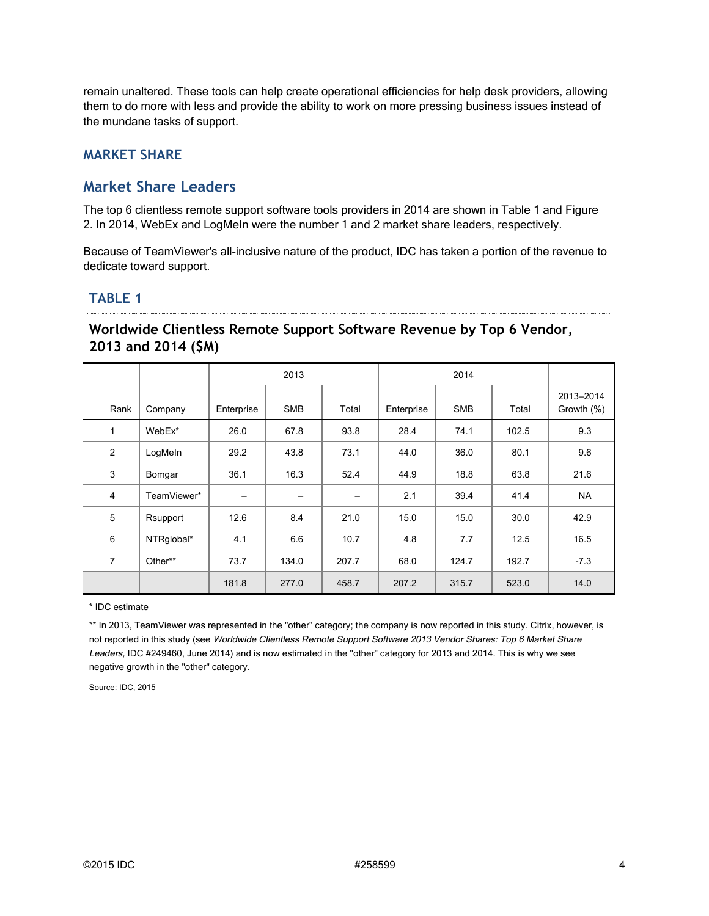remain unaltered. These tools can help create operational efficiencies for help desk providers, allowing them to do more with less and provide the ability to work on more pressing business issues instead of the mundane tasks of support.

### **MARKET SHARE**

### **Market Share Leaders**

The top 6 clientless remote support software tools providers in 2014 are shown in Table 1 and Figure 2. In 2014, WebEx and LogMeIn were the number 1 and 2 market share leaders, respectively.

Because of TeamViewer's all-inclusive nature of the product, IDC has taken a portion of the revenue to dedicate toward support.

### **TABLE 1**

# **Worldwide Clientless Remote Support Software Revenue by Top 6 Vendor, 2013 and 2014 (\$M)**

|                |             | 2013                     |                          |                          | 2014       |            |       |                         |
|----------------|-------------|--------------------------|--------------------------|--------------------------|------------|------------|-------|-------------------------|
| Rank           | Company     | Enterprise               | <b>SMB</b>               | Total                    | Enterprise | <b>SMB</b> | Total | 2013-2014<br>Growth (%) |
| 1              | WebEx*      | 26.0                     | 67.8                     | 93.8                     | 28.4       | 74.1       | 102.5 | 9.3                     |
| $\overline{2}$ | LogMeIn     | 29.2                     | 43.8                     | 73.1                     | 44.0       | 36.0       | 80.1  | 9.6                     |
| 3              | Bomgar      | 36.1                     | 16.3                     | 52.4                     | 44.9       | 18.8       | 63.8  | 21.6                    |
| 4              | TeamViewer* | $\overline{\phantom{0}}$ | $\overline{\phantom{m}}$ | $\overline{\phantom{m}}$ | 2.1        | 39.4       | 41.4  | <b>NA</b>               |
| 5              | Rsupport    | 12.6                     | 8.4                      | 21.0                     | 15.0       | 15.0       | 30.0  | 42.9                    |
| 6              | NTRglobal*  | 4.1                      | 6.6                      | 10.7                     | 4.8        | 7.7        | 12.5  | 16.5                    |
| $\overline{7}$ | Other**     | 73.7                     | 134.0                    | 207.7                    | 68.0       | 124.7      | 192.7 | $-7.3$                  |
|                |             | 181.8                    | 277.0                    | 458.7                    | 207.2      | 315.7      | 523.0 | 14.0                    |

\* IDC estimate

\*\* In 2013, TeamViewer was represented in the "other" category; the company is now reported in this study. Citrix, however, is not reported in this study (see Worldwide Clientless Remote Support Software 2013 Vendor Shares: Top 6 Market Share Leaders, IDC #249460, June 2014) and is now estimated in the "other" category for 2013 and 2014. This is why we see negative growth in the "other" category.

Source: IDC, 2015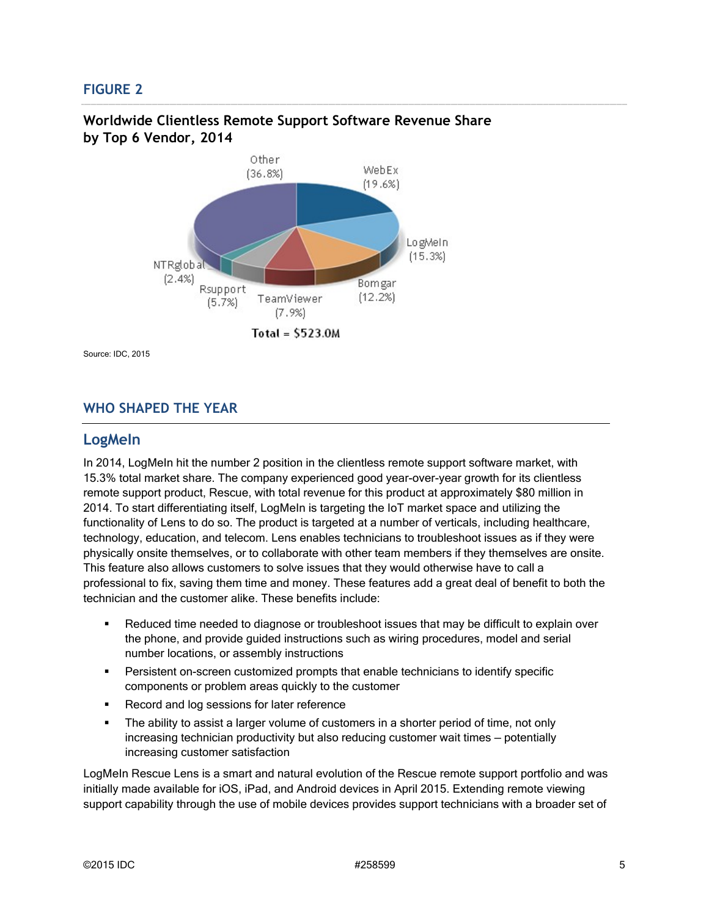### **FIGURE 2**



### **Worldwide Clientless Remote Support Software Revenue Share by Top 6 Vendor, 2014**

Source: IDC, 2015

### **WHO SHAPED THE YEAR**

#### **LogMeIn**

In 2014, LogMeIn hit the number 2 position in the clientless remote support software market, with 15.3% total market share. The company experienced good year-over-year growth for its clientless remote support product, Rescue, with total revenue for this product at approximately \$80 million in 2014. To start differentiating itself, LogMeIn is targeting the IoT market space and utilizing the functionality of Lens to do so. The product is targeted at a number of verticals, including healthcare, technology, education, and telecom. Lens enables technicians to troubleshoot issues as if they were physically onsite themselves, or to collaborate with other team members if they themselves are onsite. This feature also allows customers to solve issues that they would otherwise have to call a professional to fix, saving them time and money. These features add a great deal of benefit to both the technician and the customer alike. These benefits include:

- Reduced time needed to diagnose or troubleshoot issues that may be difficult to explain over the phone, and provide guided instructions such as wiring procedures, model and serial number locations, or assembly instructions
- **Persistent on-screen customized prompts that enable technicians to identify specific** components or problem areas quickly to the customer
- Record and log sessions for later reference
- The ability to assist a larger volume of customers in a shorter period of time, not only increasing technician productivity but also reducing customer wait times — potentially increasing customer satisfaction

LogMeIn Rescue Lens is a smart and natural evolution of the Rescue remote support portfolio and was initially made available for iOS, iPad, and Android devices in April 2015. Extending remote viewing support capability through the use of mobile devices provides support technicians with a broader set of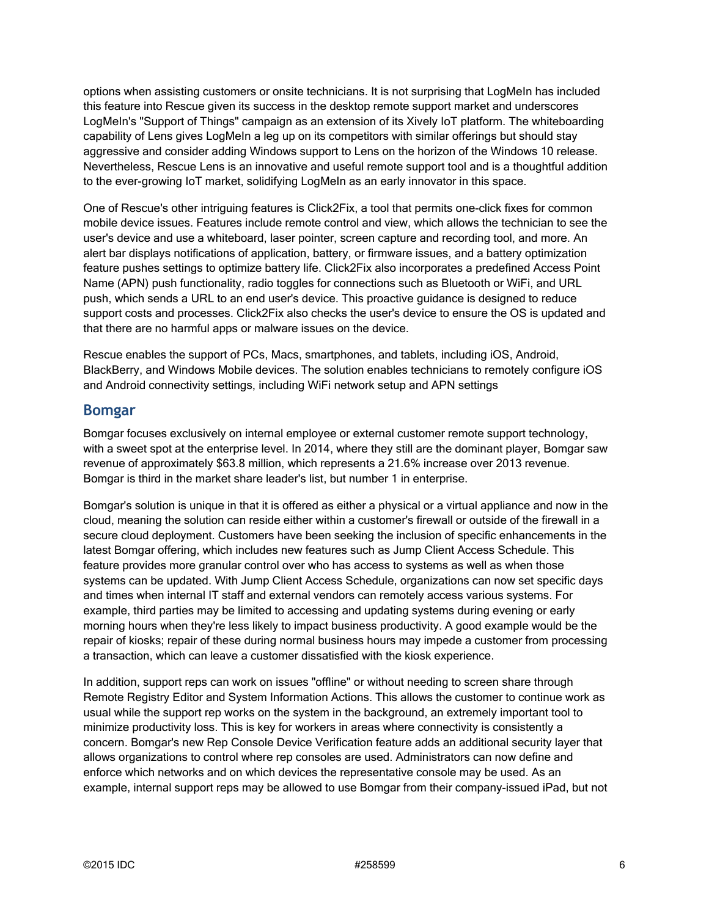options when assisting customers or onsite technicians. It is not surprising that LogMeIn has included this feature into Rescue given its success in the desktop remote support market and underscores LogMeIn's "Support of Things" campaign as an extension of its Xively IoT platform. The whiteboarding capability of Lens gives LogMeIn a leg up on its competitors with similar offerings but should stay aggressive and consider adding Windows support to Lens on the horizon of the Windows 10 release. Nevertheless, Rescue Lens is an innovative and useful remote support tool and is a thoughtful addition to the ever-growing IoT market, solidifying LogMeIn as an early innovator in this space.

One of Rescue's other intriguing features is Click2Fix, a tool that permits one-click fixes for common mobile device issues. Features include remote control and view, which allows the technician to see the user's device and use a whiteboard, laser pointer, screen capture and recording tool, and more. An alert bar displays notifications of application, battery, or firmware issues, and a battery optimization feature pushes settings to optimize battery life. Click2Fix also incorporates a predefined Access Point Name (APN) push functionality, radio toggles for connections such as Bluetooth or WiFi, and URL push, which sends a URL to an end user's device. This proactive guidance is designed to reduce support costs and processes. Click2Fix also checks the user's device to ensure the OS is updated and that there are no harmful apps or malware issues on the device.

Rescue enables the support of PCs, Macs, smartphones, and tablets, including iOS, Android, BlackBerry, and Windows Mobile devices. The solution enables technicians to remotely configure iOS and Android connectivity settings, including WiFi network setup and APN settings

#### **Bomgar**

Bomgar focuses exclusively on internal employee or external customer remote support technology, with a sweet spot at the enterprise level. In 2014, where they still are the dominant player, Bomgar saw revenue of approximately \$63.8 million, which represents a 21.6% increase over 2013 revenue. Bomgar is third in the market share leader's list, but number 1 in enterprise.

Bomgar's solution is unique in that it is offered as either a physical or a virtual appliance and now in the cloud, meaning the solution can reside either within a customer's firewall or outside of the firewall in a secure cloud deployment. Customers have been seeking the inclusion of specific enhancements in the latest Bomgar offering, which includes new features such as Jump Client Access Schedule. This feature provides more granular control over who has access to systems as well as when those systems can be updated. With Jump Client Access Schedule, organizations can now set specific days and times when internal IT staff and external vendors can remotely access various systems. For example, third parties may be limited to accessing and updating systems during evening or early morning hours when they're less likely to impact business productivity. A good example would be the repair of kiosks; repair of these during normal business hours may impede a customer from processing a transaction, which can leave a customer dissatisfied with the kiosk experience.

In addition, support reps can work on issues "offline" or without needing to screen share through Remote Registry Editor and System Information Actions. This allows the customer to continue work as usual while the support rep works on the system in the background, an extremely important tool to minimize productivity loss. This is key for workers in areas where connectivity is consistently a concern. Bomgar's new Rep Console Device Verification feature adds an additional security layer that allows organizations to control where rep consoles are used. Administrators can now define and enforce which networks and on which devices the representative console may be used. As an example, internal support reps may be allowed to use Bomgar from their company-issued iPad, but not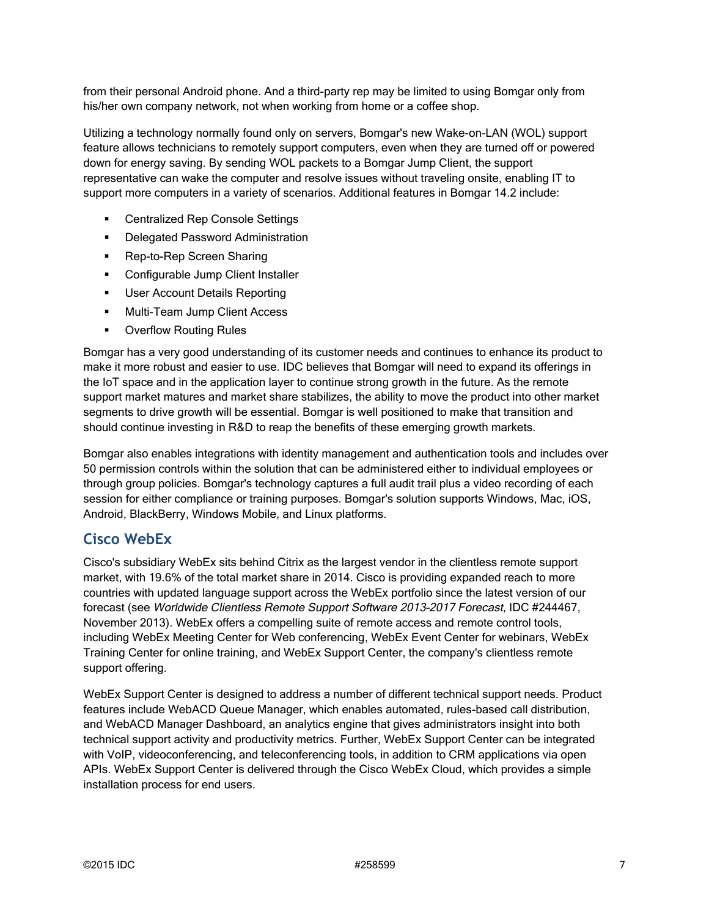from their personal Android phone. And a third-party rep may be limited to using Bomgar only from his/her own company network, not when working from home or a coffee shop.

Utilizing a technology normally found only on servers, Bomgar's new Wake-on-LAN (WOL) support feature allows technicians to remotely support computers, even when they are turned off or powered down for energy saving. By sending WOL packets to a Bomgar Jump Client, the support representative can wake the computer and resolve issues without traveling onsite, enabling IT to support more computers in a variety of scenarios. Additional features in Bomgar 14.2 include:

- **EXEC** Centralized Rep Console Settings
- **•** Delegated Password Administration
- **Rep-to-Rep Screen Sharing**
- **•** Configurable Jump Client Installer
- **User Account Details Reporting**
- **Multi-Team Jump Client Access**
- **Overflow Routing Rules**

Bomgar has a very good understanding of its customer needs and continues to enhance its product to make it more robust and easier to use. IDC believes that Bomgar will need to expand its offerings in the IoT space and in the application layer to continue strong growth in the future. As the remote support market matures and market share stabilizes, the ability to move the product into other market segments to drive growth will be essential. Bomgar is well positioned to make that transition and should continue investing in R&D to reap the benefits of these emerging growth markets.

Bomgar also enables integrations with identity management and authentication tools and includes over 50 permission controls within the solution that can be administered either to individual employees or through group policies. Bomgar's technology captures a full audit trail plus a video recording of each session for either compliance or training purposes. Bomgar's solution supports Windows, Mac, iOS, Android, BlackBerry, Windows Mobile, and Linux platforms.

### **Cisco WebEx**

Cisco's subsidiary WebEx sits behind Citrix as the largest vendor in the clientless remote support market, with 19.6% of the total market share in 2014. Cisco is providing expanded reach to more countries with updated language support across the WebEx portfolio since the latest version of our forecast (see Worldwide Clientless Remote Support Software 2013–2017 Forecast, IDC #244467, November 2013). WebEx offers a compelling suite of remote access and remote control tools, including WebEx Meeting Center for Web conferencing, WebEx Event Center for webinars, WebEx Training Center for online training, and WebEx Support Center, the company's clientless remote support offering.

WebEx Support Center is designed to address a number of different technical support needs. Product features include WebACD Queue Manager, which enables automated, rules-based call distribution, and WebACD Manager Dashboard, an analytics engine that gives administrators insight into both technical support activity and productivity metrics. Further, WebEx Support Center can be integrated with VoIP, videoconferencing, and teleconferencing tools, in addition to CRM applications via open APIs. WebEx Support Center is delivered through the Cisco WebEx Cloud, which provides a simple installation process for end users.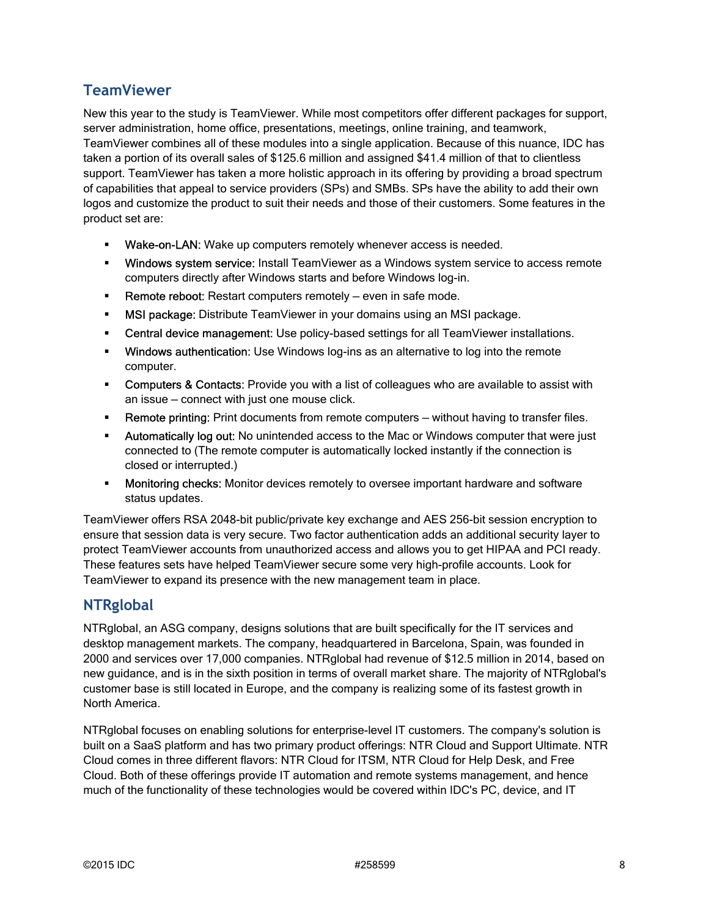# **TeamViewer**

New this year to the study is TeamViewer. While most competitors offer different packages for support, server administration, home office, presentations, meetings, online training, and teamwork, TeamViewer combines all of these modules into a single application. Because of this nuance, IDC has taken a portion of its overall sales of \$125.6 million and assigned \$41.4 million of that to clientless support. TeamViewer has taken a more holistic approach in its offering by providing a broad spectrum of capabilities that appeal to service providers (SPs) and SMBs. SPs have the ability to add their own logos and customize the product to suit their needs and those of their customers. Some features in the product set are:

- **Wake-on-LAN:** Wake up computers remotely whenever access is needed.
- **Windows system service:** Install TeamViewer as a Windows system service to access remote computers directly after Windows starts and before Windows log-in.
- **Remote reboot:** Restart computers remotely even in safe mode.
- **MSI package:** Distribute TeamViewer in your domains using an MSI package.
- **EXECENTEE CENTEE CONTER 15 IN A SET LEAST OF STARK CONTER CONTERNATE CONTERNATE CONTERNATE CONTERNATE CONTERNATE CONTERNATE CONTERNATE CONTERNATE CONTERNATE CONTERNATE CONTERNATE CONTERNATE CONTERNATE CONTERNATE CONTERN**
- **Windows authentication:** Use Windows log-ins as an alternative to log into the remote computer.
- **Computers & Contacts:** Provide you with a list of colleagues who are available to assist with an issue — connect with just one mouse click.
- **Remote printing:** Print documents from remote computers without having to transfer files.
- **Automatically log out:** No unintended access to the Mac or Windows computer that were just connected to (The remote computer is automatically locked instantly if the connection is closed or interrupted.)
- **Monitoring checks:** Monitor devices remotely to oversee important hardware and software status updates.

TeamViewer offers RSA 2048-bit public/private key exchange and AES 256-bit session encryption to ensure that session data is very secure. Two factor authentication adds an additional security layer to protect TeamViewer accounts from unauthorized access and allows you to get HIPAA and PCI ready. These features sets have helped TeamViewer secure some very high-profile accounts. Look for TeamViewer to expand its presence with the new management team in place.

# **NTRglobal**

NTRglobal, an ASG company, designs solutions that are built specifically for the IT services and desktop management markets. The company, headquartered in Barcelona, Spain, was founded in 2000 and services over 17,000 companies. NTRglobal had revenue of \$12.5 million in 2014, based on new guidance, and is in the sixth position in terms of overall market share. The majority of NTRglobal's customer base is still located in Europe, and the company is realizing some of its fastest growth in North America.

NTRglobal focuses on enabling solutions for enterprise-level IT customers. The company's solution is built on a SaaS platform and has two primary product offerings: NTR Cloud and Support Ultimate. NTR Cloud comes in three different flavors: NTR Cloud for ITSM, NTR Cloud for Help Desk, and Free Cloud. Both of these offerings provide IT automation and remote systems management, and hence much of the functionality of these technologies would be covered within IDC's PC, device, and IT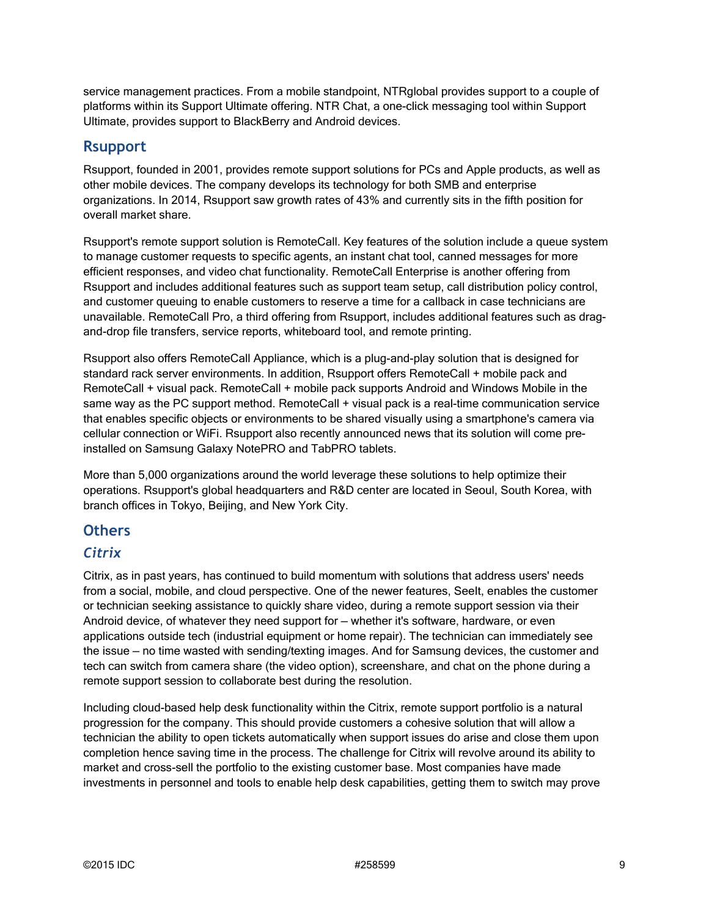service management practices. From a mobile standpoint, NTRglobal provides support to a couple of platforms within its Support Ultimate offering. NTR Chat, a one-click messaging tool within Support Ultimate, provides support to BlackBerry and Android devices.

### **Rsupport**

Rsupport, founded in 2001, provides remote support solutions for PCs and Apple products, as well as other mobile devices. The company develops its technology for both SMB and enterprise organizations. In 2014, Rsupport saw growth rates of 43% and currently sits in the fifth position for overall market share.

Rsupport's remote support solution is RemoteCall. Key features of the solution include a queue system to manage customer requests to specific agents, an instant chat tool, canned messages for more efficient responses, and video chat functionality. RemoteCall Enterprise is another offering from Rsupport and includes additional features such as support team setup, call distribution policy control, and customer queuing to enable customers to reserve a time for a callback in case technicians are unavailable. RemoteCall Pro, a third offering from Rsupport, includes additional features such as dragand-drop file transfers, service reports, whiteboard tool, and remote printing.

Rsupport also offers RemoteCall Appliance, which is a plug-and-play solution that is designed for standard rack server environments. In addition, Rsupport offers RemoteCall + mobile pack and RemoteCall + visual pack. RemoteCall + mobile pack supports Android and Windows Mobile in the same way as the PC support method. RemoteCall + visual pack is a real-time communication service that enables specific objects or environments to be shared visually using a smartphone's camera via cellular connection or WiFi. Rsupport also recently announced news that its solution will come preinstalled on Samsung Galaxy NotePRO and TabPRO tablets.

More than 5,000 organizations around the world leverage these solutions to help optimize their operations. Rsupport's global headquarters and R&D center are located in Seoul, South Korea, with branch offices in Tokyo, Beijing, and New York City.

### **Others**

### *Citrix*

Citrix, as in past years, has continued to build momentum with solutions that address users' needs from a social, mobile, and cloud perspective. One of the newer features, SeeIt, enables the customer or technician seeking assistance to quickly share video, during a remote support session via their Android device, of whatever they need support for — whether it's software, hardware, or even applications outside tech (industrial equipment or home repair). The technician can immediately see the issue — no time wasted with sending/texting images. And for Samsung devices, the customer and tech can switch from camera share (the video option), screenshare, and chat on the phone during a remote support session to collaborate best during the resolution.

Including cloud-based help desk functionality within the Citrix, remote support portfolio is a natural progression for the company. This should provide customers a cohesive solution that will allow a technician the ability to open tickets automatically when support issues do arise and close them upon completion hence saving time in the process. The challenge for Citrix will revolve around its ability to market and cross-sell the portfolio to the existing customer base. Most companies have made investments in personnel and tools to enable help desk capabilities, getting them to switch may prove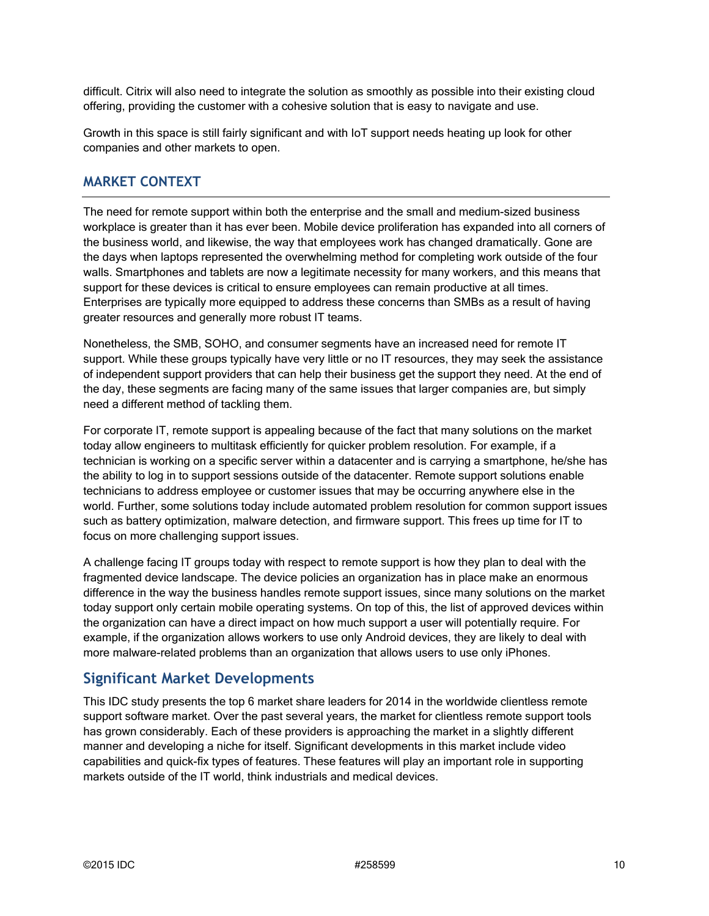difficult. Citrix will also need to integrate the solution as smoothly as possible into their existing cloud offering, providing the customer with a cohesive solution that is easy to navigate and use.

Growth in this space is still fairly significant and with IoT support needs heating up look for other companies and other markets to open.

#### **MARKET CONTEXT**

The need for remote support within both the enterprise and the small and medium-sized business workplace is greater than it has ever been. Mobile device proliferation has expanded into all corners of the business world, and likewise, the way that employees work has changed dramatically. Gone are the days when laptops represented the overwhelming method for completing work outside of the four walls. Smartphones and tablets are now a legitimate necessity for many workers, and this means that support for these devices is critical to ensure employees can remain productive at all times. Enterprises are typically more equipped to address these concerns than SMBs as a result of having greater resources and generally more robust IT teams.

Nonetheless, the SMB, SOHO, and consumer segments have an increased need for remote IT support. While these groups typically have very little or no IT resources, they may seek the assistance of independent support providers that can help their business get the support they need. At the end of the day, these segments are facing many of the same issues that larger companies are, but simply need a different method of tackling them.

For corporate IT, remote support is appealing because of the fact that many solutions on the market today allow engineers to multitask efficiently for quicker problem resolution. For example, if a technician is working on a specific server within a datacenter and is carrying a smartphone, he/she has the ability to log in to support sessions outside of the datacenter. Remote support solutions enable technicians to address employee or customer issues that may be occurring anywhere else in the world. Further, some solutions today include automated problem resolution for common support issues such as battery optimization, malware detection, and firmware support. This frees up time for IT to focus on more challenging support issues.

A challenge facing IT groups today with respect to remote support is how they plan to deal with the fragmented device landscape. The device policies an organization has in place make an enormous difference in the way the business handles remote support issues, since many solutions on the market today support only certain mobile operating systems. On top of this, the list of approved devices within the organization can have a direct impact on how much support a user will potentially require. For example, if the organization allows workers to use only Android devices, they are likely to deal with more malware-related problems than an organization that allows users to use only iPhones.

### **Significant Market Developments**

This IDC study presents the top 6 market share leaders for 2014 in the worldwide clientless remote support software market. Over the past several years, the market for clientless remote support tools has grown considerably. Each of these providers is approaching the market in a slightly different manner and developing a niche for itself. Significant developments in this market include video capabilities and quick-fix types of features. These features will play an important role in supporting markets outside of the IT world, think industrials and medical devices.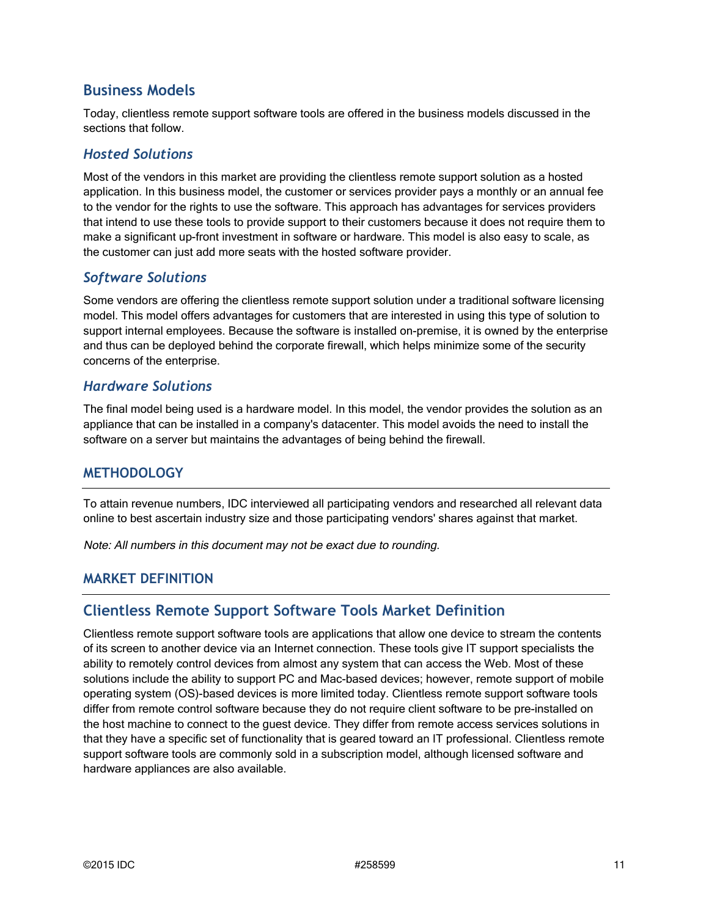### **Business Models**

Today, clientless remote support software tools are offered in the business models discussed in the sections that follow.

#### *Hosted Solutions*

Most of the vendors in this market are providing the clientless remote support solution as a hosted application. In this business model, the customer or services provider pays a monthly or an annual fee to the vendor for the rights to use the software. This approach has advantages for services providers that intend to use these tools to provide support to their customers because it does not require them to make a significant up-front investment in software or hardware. This model is also easy to scale, as the customer can just add more seats with the hosted software provider.

#### *Software Solutions*

Some vendors are offering the clientless remote support solution under a traditional software licensing model. This model offers advantages for customers that are interested in using this type of solution to support internal employees. Because the software is installed on-premise, it is owned by the enterprise and thus can be deployed behind the corporate firewall, which helps minimize some of the security concerns of the enterprise.

#### *Hardware Solutions*

The final model being used is a hardware model. In this model, the vendor provides the solution as an appliance that can be installed in a company's datacenter. This model avoids the need to install the software on a server but maintains the advantages of being behind the firewall.

### **METHODOLOGY**

To attain revenue numbers, IDC interviewed all participating vendors and researched all relevant data online to best ascertain industry size and those participating vendors' shares against that market.

Note: All numbers in this document may not be exact due to rounding.

### **MARKET DEFINITION**

### **Clientless Remote Support Software Tools Market Definition**

Clientless remote support software tools are applications that allow one device to stream the contents of its screen to another device via an Internet connection. These tools give IT support specialists the ability to remotely control devices from almost any system that can access the Web. Most of these solutions include the ability to support PC and Mac-based devices; however, remote support of mobile operating system (OS)-based devices is more limited today. Clientless remote support software tools differ from remote control software because they do not require client software to be pre-installed on the host machine to connect to the guest device. They differ from remote access services solutions in that they have a specific set of functionality that is geared toward an IT professional. Clientless remote support software tools are commonly sold in a subscription model, although licensed software and hardware appliances are also available.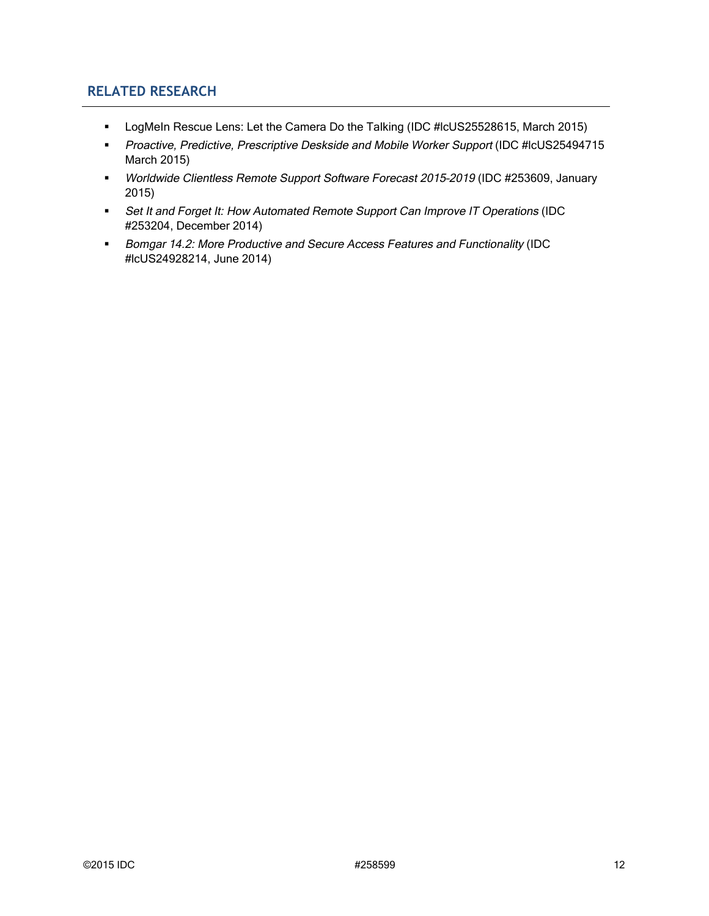### **RELATED RESEARCH**

- **LogMeIn Rescue Lens: Let the Camera Do the Talking (IDC #IcUS25528615, March 2015)**
- **Proactive, Predictive, Prescriptive Deskside and Mobile Worker Support (IDC #IcUS25494715** March 2015)
- Worldwide Clientless Remote Support Software Forecast 2015–2019 (IDC #253609, January 2015)
- Set It and Forget It: How Automated Remote Support Can Improve IT Operations (IDC #253204, December 2014)
- **Bomgar 14.2: More Productive and Secure Access Features and Functionality (IDC** #lcUS24928214, June 2014)